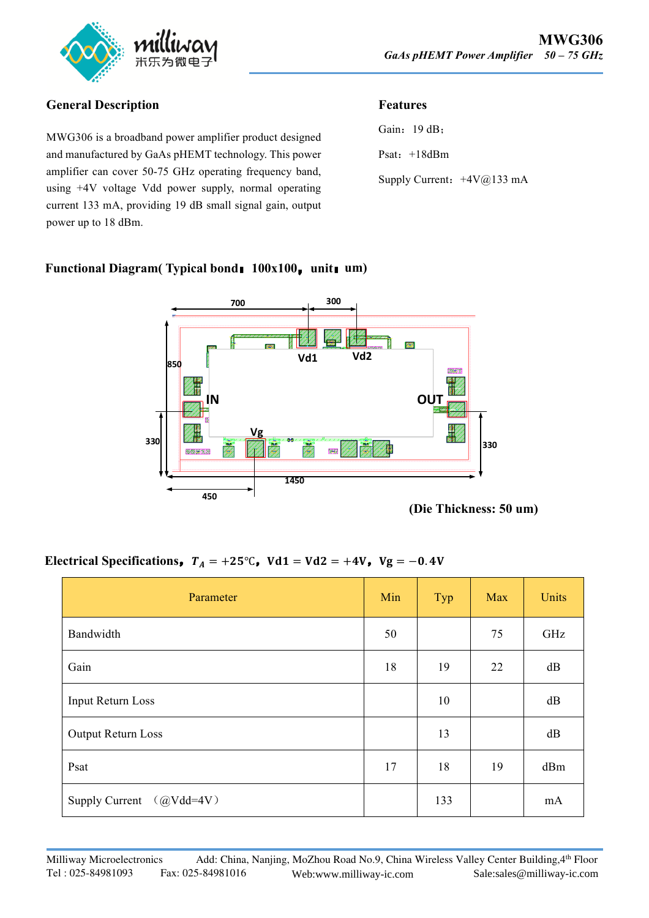

## **General Description**

MWG306 is a broadband power amplifier product designed and manufactured by GaAs pHEMT technology. This power amplifier can cover 50-75 GHz operating frequency band, using +4V voltage Vdd power supply, normal operating current 133 mA, providing 19 dB small signal gain, output power up to 18 dBm.

## **Features**

| Gain: 19 dB;               |  |
|----------------------------|--|
| Psat: $+18dBm$             |  |
| Supply Current: +4V@133 mA |  |

#### **Functional Diagram( Typical bond**:**100x100**,**unit**:**um)**



**(Die Thickness: 50 um)**

# **Electrical Specifications,**  $T_A = +25^\circ \text{C}$ ,  $Vd1 = Vd2 = +4V$ ,  $Vg = -0.4V$

| Parameter                            | Min | Typ | Max | Units |
|--------------------------------------|-----|-----|-----|-------|
| Bandwidth                            | 50  |     | 75  | GHz   |
| Gain                                 | 18  | 19  | 22  | dB    |
| Input Return Loss                    |     | 10  |     | dB    |
| Output Return Loss                   |     | 13  |     | dB    |
| Psat                                 | 17  | 18  | 19  | dBm   |
| $(QVdd=4V)$<br><b>Supply Current</b> |     | 133 |     | mA    |